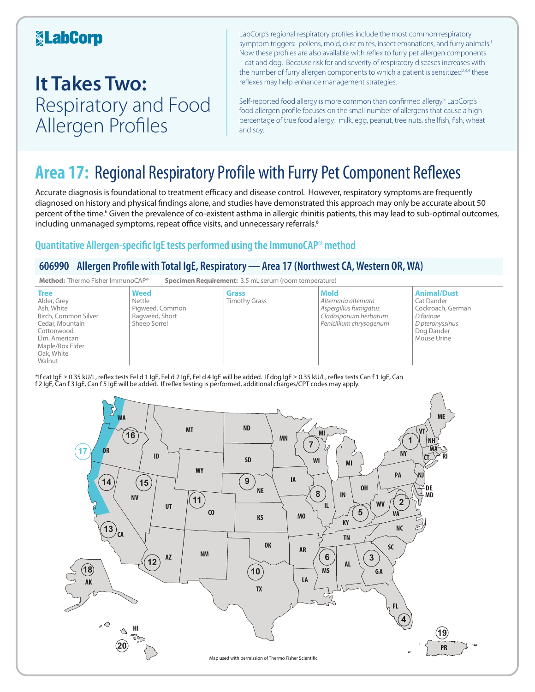## **KabCorp**

## **It Takes Two:**  Respiratory and Food Allergen Profiles

LabCorp's regional respiratory profiles include the most common respiratory symptom triggers: pollens, mold, dust mites, insect emanations, and furry animals.<sup>1</sup> Now these profiles are also available with reflex to furry pet allergen components – cat and dog. Because risk for and severity of respiratory diseases increases with the number of furry allergen components to which a patient is sensitized<sup>2,3,4</sup> these reflexes may help enhance management strategies.

Self-reported food allergy is more common than confirmed allergy.<sup>5</sup> LabCorp's food allergen profile focuses on the small number of allergens that cause a high percentage of true food allergy: milk, egg, peanut, tree nuts, shellfish, fish, wheat and soy.

## **Area 17:** Regional Respiratory Profile with Furry Pet Component Reflexes

Accurate diagnosis is foundational to treatment efficacy and disease control. However, respiratory symptoms are frequently diagnosed on history and physical findings alone, and studies have demonstrated this approach may only be accurate about 50 percent of the time.<sup>6</sup> Given the prevalence of co-existent asthma in allergic rhinitis patients, this may lead to sub-optimal outcomes, including unmanaged symptoms, repeat office visits, and unnecessary referrals.<sup>6</sup>

## **Quantitative Allergen-specific IgE tests performed using the ImmunoCAP® method**

## **606990 Allergen Profile with Total IgE, Respiratory—Area 17 (Northwest CA, Western OR, WA)**



\*If cat IgE ≥ 0.35 kU/L, reflex tests Fel d 1 IgE, Fel d 2 IgE, Fel d 4 IgE will be added. If dog IgE ≥ 0.35 kU/L, reflex tests Can f 1 IgE, Can f 2 IgE, Can f 3 IgE, Can f 5 IgE will be added. If reflex testing is performed, additional charges/CPT codes may apply.